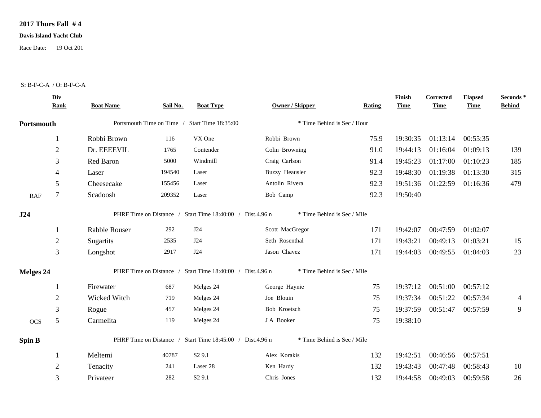## **2017 Thurs Fall # 4**

## **Davis Island Yacht Club**

Race Date: 19 Oct 201

## S: B-F-C-A / O: B-F-C-A

|                  | Div<br><b>Rank</b> | <b>Boat Name</b> | Sail No. | <b>Boat Type</b>                                          | <b>Owner / Skipper</b>      | Rating | Finish<br><b>Time</b> | Corrected<br><b>Time</b> | <b>Elapsed</b><br><b>Time</b> | Seconds*<br><b>Behind</b> |
|------------------|--------------------|------------------|----------|-----------------------------------------------------------|-----------------------------|--------|-----------------------|--------------------------|-------------------------------|---------------------------|
| Portsmouth       |                    |                  |          | Portsmouth Time on Time / Start Time 18:35:00             | * Time Behind is Sec / Hour |        |                       |                          |                               |                           |
|                  |                    | Robbi Brown      | 116      | VX One                                                    | Robbi Brown                 | 75.9   | 19:30:35              | 01:13:14                 | 00:55:35                      |                           |
|                  | $\overline{2}$     | Dr. EEEEVIL      | 1765     | Contender                                                 | Colin Browning              | 91.0   | 19:44:13              | 01:16:04                 | 01:09:13                      | 139                       |
|                  | 3                  | Red Baron        | 5000     | Windmill                                                  | Craig Carlson               | 91.4   | 19:45:23              | 01:17:00                 | 01:10:23                      | 185                       |
|                  | 4                  | Laser            | 194540   | Laser                                                     | <b>Buzzy Heausler</b>       | 92.3   | 19:48:30              | 01:19:38                 | 01:13:30                      | 315                       |
|                  | 5                  | Cheesecake       | 155456   | Laser                                                     | Antolin Rivera              | 92.3   | 19:51:36              | 01:22:59                 | 01:16:36                      | 479                       |
| <b>RAF</b>       | 7                  | Scadoosh         | 209352   | Laser                                                     | Bob Camp                    | 92.3   | 19:50:40              |                          |                               |                           |
| J24              |                    |                  |          | PHRF Time on Distance / Start Time 18:40:00 / Dist.4.96 n | * Time Behind is Sec / Mile |        |                       |                          |                               |                           |
|                  |                    | Rabble Rouser    | 292      | J24                                                       | Scott MacGregor             | 171    | 19:42:07              | 00:47:59                 | 01:02:07                      |                           |
|                  | $\overline{c}$     | Sugartits        | 2535     | J24                                                       | Seth Rosenthal              | 171    | 19:43:21              | 00:49:13                 | 01:03:21                      | 15                        |
|                  | 3                  | Longshot         | 2917     | J24                                                       | Jason Chavez                | 171    | 19:44:03              | 00:49:55                 | 01:04:03                      | 23                        |
| <b>Melges 24</b> |                    |                  |          | PHRF Time on Distance / Start Time 18:40:00 / Dist.4.96 n | * Time Behind is Sec / Mile |        |                       |                          |                               |                           |
|                  |                    | Firewater        | 687      | Melges 24                                                 | George Haynie               | 75     | 19:37:12              | 00:51:00                 | 00:57:12                      |                           |
|                  | $\mathfrak{2}$     | Wicked Witch     | 719      | Melges 24                                                 | Joe Blouin                  | 75     | 19:37:34              | 00:51:22                 | 00:57:34                      | $\overline{4}$            |
|                  | 3                  | Rogue            | 457      | Melges 24                                                 | Bob Kroetsch                | 75     | 19:37:59              | 00:51:47                 | 00:57:59                      | $\overline{9}$            |
| <b>OCS</b>       | 5                  | Carmelita        | 119      | Melges 24                                                 | J A Booker                  | 75     | 19:38:10              |                          |                               |                           |
| Spin B           |                    |                  |          | PHRF Time on Distance / Start Time 18:45:00 / Dist.4.96 n | * Time Behind is Sec / Mile |        |                       |                          |                               |                           |
|                  |                    | Meltemi          | 40787    | S <sub>2</sub> 9.1                                        | Alex Korakis                | 132    | 19:42:51              | 00:46:56                 | 00:57:51                      |                           |
|                  | $\overline{2}$     | Tenacity         | 241      | Laser 28                                                  | Ken Hardy                   | 132    | 19:43:43              | 00:47:48                 | 00:58:43                      | 10                        |
|                  | 3                  | Privateer        | 282      | S <sub>2</sub> 9.1                                        | Chris Jones                 | 132    | 19:44:58              | 00:49:03                 | 00:59:58                      | 26                        |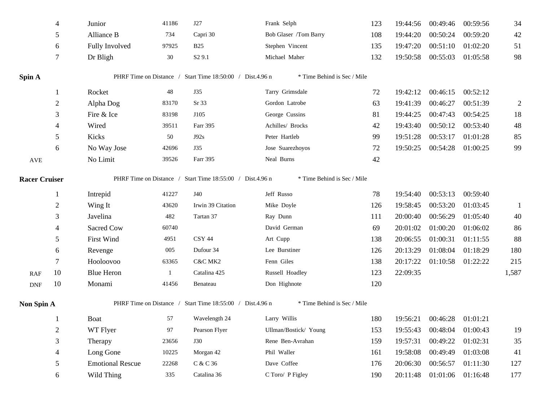|                             | 4              | Junior                  | 41186 | J27                                                       | Frank Selph                 | 123 | 19:44:56 | 00:49:46          | 00:59:56 | 34             |
|-----------------------------|----------------|-------------------------|-------|-----------------------------------------------------------|-----------------------------|-----|----------|-------------------|----------|----------------|
|                             | 5              | Alliance B              | 734   | Capri 30                                                  | Bob Glaser /Tom Barry       | 108 | 19:44:20 | 00:50:24          | 00:59:20 | 42             |
|                             | 6              | Fully Involved          | 97925 | <b>B25</b>                                                | Stephen Vincent             | 135 | 19:47:20 | 00:51:10          | 01:02:20 | 51             |
|                             | 7              | Dr Bligh                | 30    | S <sub>2</sub> 9.1                                        | Michael Maher               | 132 | 19:50:58 | 00:55:03          | 01:05:58 | 98             |
| Spin A                      |                |                         |       | PHRF Time on Distance / Start Time 18:50:00 / Dist.4.96 n | * Time Behind is Sec / Mile |     |          |                   |          |                |
|                             | 1              | Rocket                  | 48    | J35                                                       | Tarry Grimsdale             | 72  | 19:42:12 | 00:46:15          | 00:52:12 |                |
|                             | $\sqrt{2}$     | Alpha Dog               | 83170 | Sr 33                                                     | Gordon Latrobe              | 63  | 19:41:39 | 00:46:27          | 00:51:39 | $\overline{2}$ |
|                             | 3              | Fire & Ice              | 83198 | J105                                                      | George Cussins              | 81  | 19:44:25 | 00:47:43          | 00:54:25 | 18             |
|                             | 4              | Wired                   | 39511 | Farr 395                                                  | Achilles/ Brocks            | 42  | 19:43:40 | 00:50:12          | 00:53:40 | 48             |
|                             | 5              | Kicks                   | 50    | J92s                                                      | Peter Hartleb               | 99  | 19:51:28 | 00:53:17          | 01:01:28 | 85             |
|                             | 6              | No Way Jose             | 42696 | J35                                                       | Jose Suarezhoyos            | 72  | 19:50:25 | 00:54:28          | 01:00:25 | 99             |
| AVE                         |                | No Limit                | 39526 | Farr 395                                                  | Neal Burns                  | 42  |          |                   |          |                |
| <b>Racer Cruiser</b>        |                |                         |       | PHRF Time on Distance / Start Time 18:55:00 / Dist.4.96 n | * Time Behind is Sec / Mile |     |          |                   |          |                |
|                             | 1              | Intrepid                | 41227 | J40                                                       | Jeff Russo                  | 78  | 19:54:40 | 00:53:13          | 00:59:40 |                |
|                             | $\overline{2}$ | Wing It                 | 43620 | Irwin 39 Citation                                         | Mike Doyle                  | 126 | 19:58:45 | 00:53:20          | 01:03:45 | $\mathbf{1}$   |
|                             | 3              | Javelina                | 482   | Tartan 37                                                 | Ray Dunn                    | 111 | 20:00:40 | 00:56:29          | 01:05:40 | 40             |
|                             | 4              | Sacred Cow              | 60740 |                                                           | David German                | 69  | 20:01:02 | 01:00:20          | 01:06:02 | 86             |
|                             | 5              | <b>First Wind</b>       | 4951  | CSY 44                                                    | Art Cupp                    | 138 | 20:06:55 | 01:00:31          | 01:11:55 | 88             |
|                             | 6              | Revenge                 | 005   | Dufour 34                                                 | Lee Burstiner               | 126 | 20:13:29 | 01:08:04          | 01:18:29 | 180            |
|                             | 7              | Hooloovoo               | 63365 | C&C MK2                                                   | Fenn Giles                  | 138 | 20:17:22 | 01:10:58          | 01:22:22 | 215            |
| <b>RAF</b>                  | 10             | <b>Blue Heron</b>       | 1     | Catalina 425                                              | Russell Hoadley             | 123 | 22:09:35 |                   |          | 1,587          |
| $\ensuremath{\mathsf{DNF}}$ | 10             | Monami                  | 41456 | Benateau                                                  | Don Highnote                | 120 |          |                   |          |                |
| Non Spin A                  |                |                         |       | PHRF Time on Distance / Start Time 18:55:00 / Dist.4.96 n | * Time Behind is Sec / Mile |     |          |                   |          |                |
|                             | 1              | <b>Boat</b>             | 57    | Wavelength 24                                             | Larry Willis                | 180 | 19:56:21 | 00:46:28 01:01:21 |          |                |
|                             | $\overline{2}$ | WT Flyer                | 97    | Pearson Flyer                                             | Ullman/Bostick/ Young       | 153 | 19:55:43 | 00:48:04          | 01:00:43 | 19             |
|                             | 3              | Therapy                 | 23656 | <b>J30</b>                                                | Rene Ben-Avrahan            | 159 | 19:57:31 | 00:49:22          | 01:02:31 | 35             |
|                             | 4              | Long Gone               | 10225 | Morgan 42                                                 | Phil Waller                 | 161 | 19:58:08 | 00:49:49          | 01:03:08 | 41             |
|                             | 5              | <b>Emotional Rescue</b> | 22268 | C & C 36                                                  | Dave Coffee                 | 176 | 20:06:30 | 00:56:57          | 01:11:30 | 127            |
|                             | 6              | Wild Thing              | 335   | Catalina 36                                               | C Toro/ P Figley            | 190 | 20:11:48 | 01:01:06          | 01:16:48 | 177            |
|                             |                |                         |       |                                                           |                             |     |          |                   |          |                |